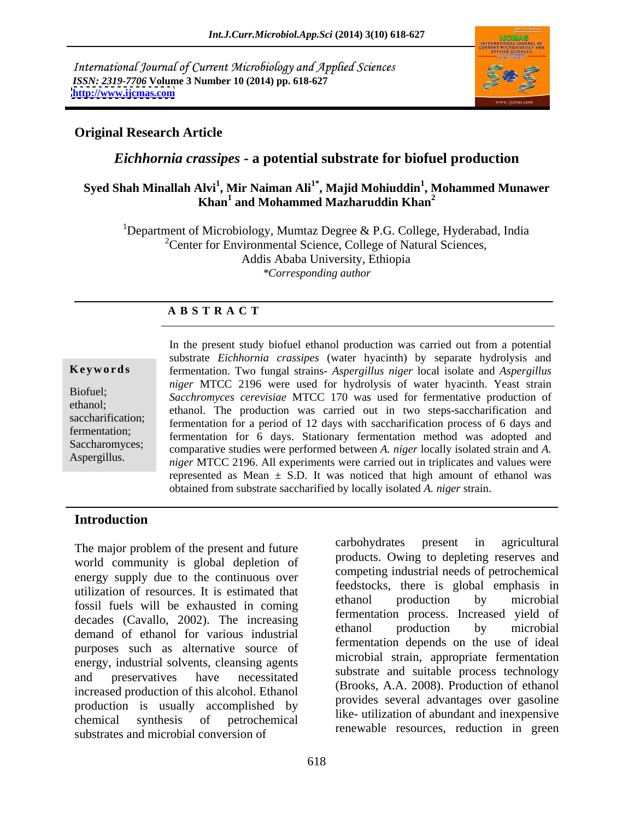International Journal of Current Microbiology and Applied Sciences *ISSN: 2319-7706* **Volume 3 Number 10 (2014) pp. 618-627 <http://www.ijcmas.com>**



## **Original Research Article**

# *Eichhornia crassipes* **- a potential substrate for biofuel production**

## **Syed Shah Minallah Alvi<sup>1</sup> , Mir Naiman Ali1\* , Majid Mohiuddin<sup>1</sup> , Mohammed Munawer Khan<sup>1</sup> and Mohammed Mazharuddin Khan<sup>2</sup>**

<sup>1</sup>Department of Microbiology, Mumtaz Degree & P.G. College, Hyderabad, India  $2^2$ Center for Environmental Science, College of Natural Sciences, Addis Ababa University, Ethiopia *\*Corresponding author* 

### **A B S T R A C T**

**Ke ywo rds** fermentation. Two fungal strains- *Aspergillus niger* local isolate and *Aspergillus*  Biofuel; *Sacchromyces cerevisiae* MTCC 170 was used for fermentative production of ethanol; ethanol. The production was carried out in two steps-saccharification and saccharification; fermentation for a period of 12 days with saccharification process of 6 days and fermentation; fermentation for 6 days. Stationary fermentation method was adopted and Saccharomyces; comparative studies were performed between *A. niger* locally isolated strain and *A.* Aspergillus. *niger* MTCC 2196. All experiments were carried out in triplicates and values were In the present study biofuel ethanol production was carried out from a potential substrate *Eichhornia crassipes* (water hyacinth) by separate hydrolysis and *niger* MTCC 2196 were used for hydrolysis of water hyacinth. Yeast strain represented as Mean  $\pm$  S.D. It was noticed that high amount of ethanol was obtained from substrate saccharified by locally isolated *A. niger* strain.

### **Introduction**

world community is global depletion of energy supply due to the continuous over utilization of resources. It is estimated that<br>thanol production by microbial<br>thanol production by microbial fossil fuels will be exhausted in coming decades (Cavallo, 2002). The increasing<br>thanol production by microbial<br>decades (Cavallo, 2002). The increasing<br>thanol production by microbial demand of ethanol for various industrial purposes such as alternative source of energy, industrial solvents, cleansing agents and preservatives have necessitated substrate and suitable process technology increased production of this alcohol. Ethanol production is usually accomplished by chemical synthesis of petrochemical the unization of abundant and mexpensive substrates and microbial conversion of

The major problem of the present and future carbohydrates present in agricultural carbohydrates present in agricultural products. Owing to depleting reserves and competing industrial needs of petrochemical feedstocks, there is global emphasis in ethanol production by microbial fermentation process. Increased yield of ethanol production by microbial fermentation depends on the use of ideal microbial strain, appropriate fermentation substrate and suitable process technology (Brooks, A.A. 2008). Production of ethanol provides several advantages over gasoline like- utilization of abundant and inexpensive renewable resources, reduction in green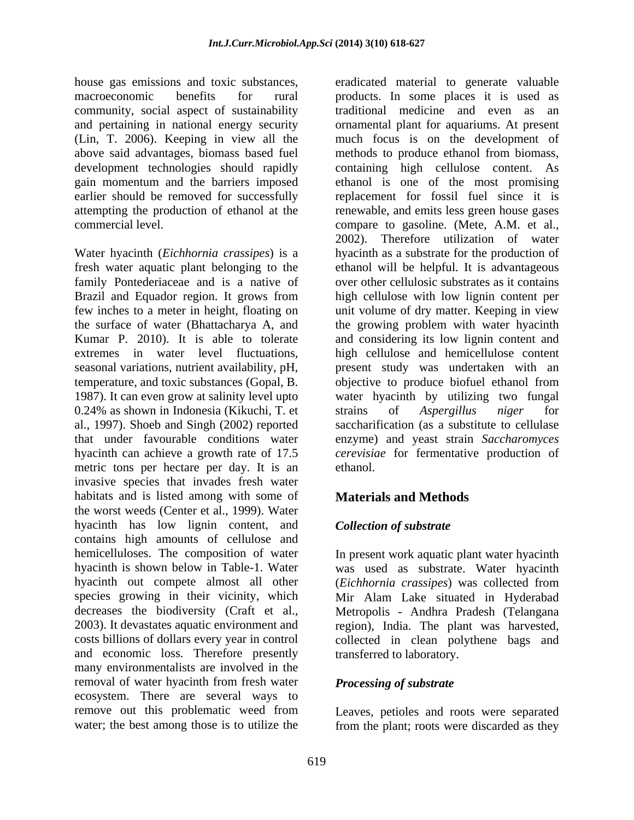house gas emissions and toxic substances, eradicated material to generate valuable community, social aspect of sustainability

Water hyacinth (*Eichhornia crassipes*) is a family Pontederiaceae and is a native of Kumar P. 2010). It is able to tolerate 0.24% as shown in Indonesia (Kikuchi, T. et strains of Aspergillus niger for metric tons per hectare per day. It is an ethanol. invasive species that invades fresh water habitats and is listed among with some of the worst weeds (Center et al., 1999). Water hyacinth has low lignin content, and Collection of substrate contains high amounts of cellulose and hemicelluloses. The composition of water In present work aquatic plant water hyacinth hyacinth is shown below in Table-1. Water was used as substrate. Water hyacinth hyacinth out compete almost all other (*Eichhornia crassipes*) was collected from species growing in their vicinity, which Mir Alam Lake situated in Hyderabad decreases the biodiversity (Craft et al., Metropolis - Andhra Pradesh (Telangana 2003). It devastates aquatic environment and region), India. The plant was harvested, costs billions of dollars every year in control collected in clean polythene bags and and economic loss. Therefore presently many environmentalists are involved in the removal of water hyacinth from fresh water ecosystem. There are several ways to remove out this problematic weed from Leaves, petioles and roots were separated

macroeconomic benefits for rural products. In some places it is used as and pertaining in national energy security ornamental plant for aquariums. At present (Lin, T. 2006). Keeping in view all the much focus is on the development of above said advantages, biomass based fuel methods to produce ethanol from biomass, development technologies should rapidly containing high cellulose content. As gain momentum and the barriers imposed bethanol is one of the most promising earlier should be removed for successfully replacement for fossil fuel since it is attempting the production of ethanol at the renewable, and emits less green house gases commercial level. compare to gasoline. (Mete, A.M. et al., fresh water aquatic plant belonging to the ethanol will be helpful. It is advantageous Brazil and Equador region. It grows from high cellulose with low lignin content per few inches to a meter in height, floating on unit volume of dry matter. Keeping in view the surface of water (Bhattacharya A, and the growing problem with water hyacinth extremes in water level fluctuations, high cellulose and hemicellulose content seasonal variations, nutrient availability, pH, present study was undertaken with an temperature, and toxic substances (Gopal, B. objective to produce biofuel ethanol from 1987). It can even grow at salinity level upto water hyacinth by utilizing two fungal al., 1997). Shoeb and Singh (2002) reported saccharification (as a substitute to cellulase that under favourable conditions water enzyme) and yeast strain *Saccharomyces* hyacinth can achieve a growth rate of 17.5 *cerevisiae* for fermentative production of traditional medicine and even as an 2002). Therefore utilization of water hyacinth as a substrate for the production of over other cellulosic substrates as it contains and considering its low lignin content and strains of *Aspergillus niger* for ethanol.

# **Materials and Methods**

# *Collection of substrate*

transferred to laboratory.

# *Processing of substrate*

water; the best among those is to utilize the from the plant; roots were discarded as they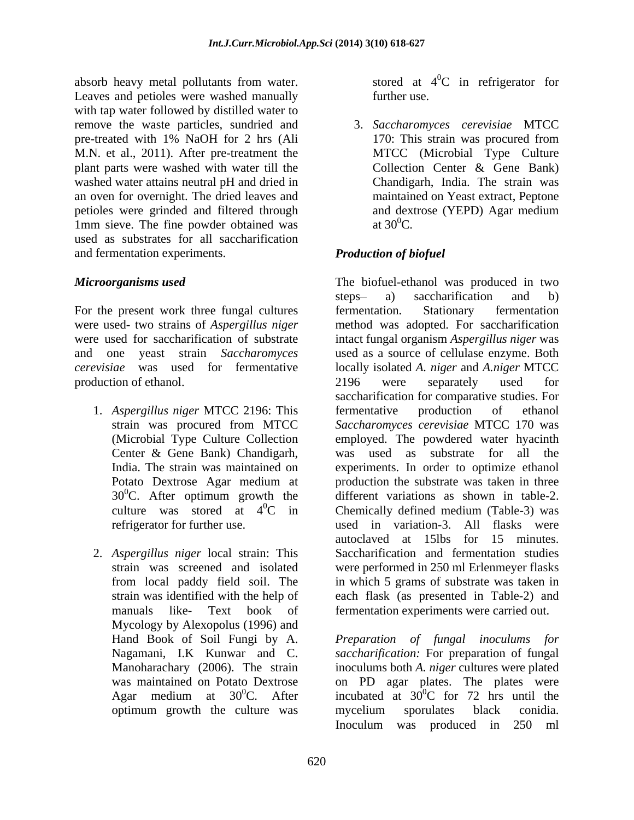absorb heavy metal pollutants from water. Leaves and petioles were washed manually further use. with tap water followed by distilled water to remove the waste particles, sundried and pre-treated with 1% NaOH for 2 hrs (Ali 170: This strain was procured from M.N. et al., 2011). After pre-treatment the plant parts were washed with water till the Collection Center & Gene Bank) washed water attains neutral pH and dried in an oven for overnight. The dried leaves and<br>
periodes were grinded and filtered through and dextrose (YEPD) Agar medium petioles were grinded and filtered through 1mm sieve. The fine powder obtained was  $at 30^0C$ . used as substrates for all saccharification and fermentation experiments.

For the present work three fungal cultures fermentation. Stationary fermentation production of ethanol. 2196 were separately used for

- 
- manuals like- Text book of fermentation experiments were carried out. Mycology by Alexopolus (1996) and

stored at  $4^0C$  in refrigerator for  ${}^{0}C$  in refrigerator for further use.

3. *Saccharomyces cerevisiae* MTCC 170: This strain was procured from MTCC (Microbial Type Culture Collection Center & Gene Bank) Chandigarh, India. The strain was maintained on Yeast extract, Peptone and dextrose (YEPD) Agar medium at  $30^0$ C.

# *Production of biofuel*

*Microorganisms used* The biofuel-ethanol was produced in two were used- two strains of *Aspergillus niger* method was adopted. For saccharification were used for saccharification of substrate intact fungal organism *Aspergillus niger* was and one yeast strain *Saccharomyces*  used as a source of cellulase enzyme. Both *cerevisiae* was used for fermentative locally isolated *A. niger* and *A.niger* MTCC 1. *Aspergillus niger* MTCC 2196: This fermentative production of ethanol strain was procured from MTCC *Saccharomyces cerevisiae* MTCC 170 was strain was procured from MTCC *Saccharomyces cerevisiae* MTCC 170 was (Microbial Type Culture Collection employed. The powdered water hyacinth Center & Gene Bank) Chandigarh, was used as substrate for all the India. The strain was maintained on experiments. In order to optimize ethanol Potato Dextrose Agar medium at production the substrate was taken in three 300C. After optimum growth the different variations as shown in table-2. culture was stored at  $4^{\circ}$ C in Chemically defined medium (Table-3) was refrigerator for further use. used in variation-3. All flasks were 2. *Aspergillus niger* local strain: This Saccharification and fermentation studies strain was screened and isolated were performed in 250 ml Erlenmeyer flasks from local paddy field soil. The in which 5 grams of substrate was taken in strain was identified with the help of each flask (as presented in Table-2) and steps- a) saccharification and b) fermentation. Stationary fermentation 2196 were separately used for saccharification for comparative studies. For fermentative production of ethanol autoclaved at 15lbs for 15 minutes.

Hand Book of Soil Fungi by A. *Preparation of fungal inoculums for* Nagamani, I.K Kunwar and C. *saccharification:* For preparation of fungal Manoharachary (2006). The strain inoculums both *A. niger* cultures were plated was maintained on Potato Dextrose on PD agar plates. The plates were Agar medium at  $30^0C$ . After incubated at  $30^0C$  for 72 hrs until the optimum growth the culture was mycelium sporulates black conidia.  ${}^{0}C$  for 72 hrs until the mycelium sporulates black conidia. Inoculum was produced in 250 ml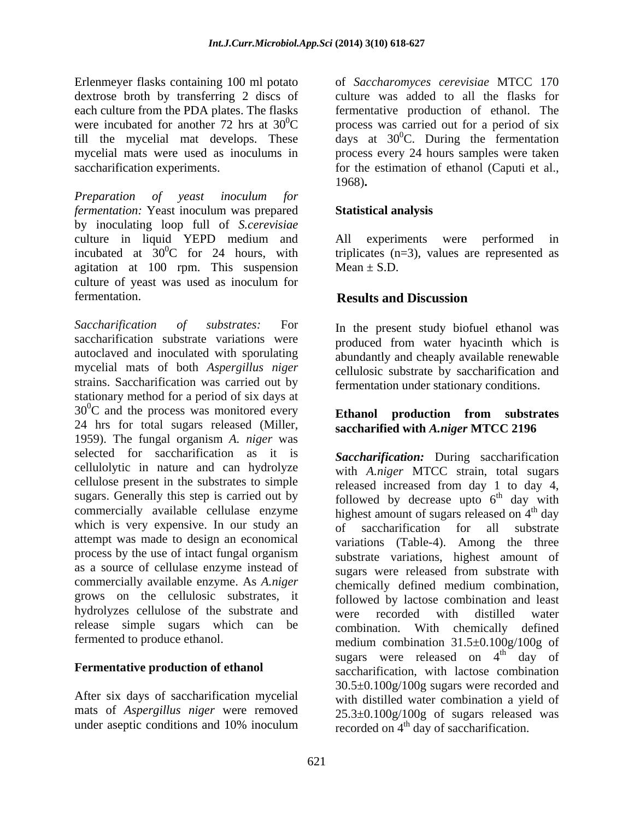Erlenmeyer flasks containing 100 ml potato dextrose broth by transferring 2 discs of each culture from the PDA plates. The flasks were incubated for another 72 hrs at  $30^0$ C process was carried out for a period of six till the mycelial mat develops. These  $\frac{1}{4}$  days at 30<sup>0</sup>C. During the fermentation mycelial mats were used as inoculums in saccharification experiments. for the estimation of ethanol (Caputi et al.,

*Preparation of yeast inoculum for fermentation:* Yeast inoculum was prepared **Statistical analysis** by inoculating loop full of *S.cerevisiae* culture in liquid YEPD medium and All experiments were performed in incubated at  $30^0C$  for 24 hours, with triplicates (n=3), values are represented as agitation at 100 rpm. This suspension Mean  $\pm$  S.D. culture of yeast was used as inoculum for fermentation. **Results and Discussion** 

*Saccharification of substrates:* For In the present study biofuel ethanol was saccharification substrate variations were autoclaved and inoculated with sporulating mycelial mats of both *Aspergillus niger* cellulosic substrate by saccharification and strains. Saccharification was carried out by stationary method for a period of six days at  $30^{\circ}$ C and the process was monitored every 24 hrs for total sugars released (Miller, 1959). The fungal organism *A. niger* was selected for saccharification as it is cellulolytic in nature and can hydrolyze cellulose present in the substrates to simple which is very expensive. In our study an of saccharification for all substrate attempt was made to design an economical process by the use of intact fungal organism as a source of cellulase enzyme instead of grows on the cellulosic substrates, it hydrolyzes cellulose of the substrate and were recorded with distilled water release simple sugars which can be combination. With chemically defined

After six days of saccharification mycelial mats of *Aspergillus niger* were removed of *Saccharomyces cerevisiae* MTCC 170 culture was added to all the flasks for fermentative production of ethanol. The process every 24 hours samples were taken 1968)**. Statistical analysis**

 $Mean \pm S.D.$ 

## **Results and Discussion**

produced from water hyacinth which is abundantly and cheaply available renewable fermentation under stationary conditions.

### **Ethanol production from substrates saccharified with** *A.niger* **MTCC 2196**

sugars. Generally this step is carried out by followed by decrease upto  $6<sup>th</sup>$  day with commercially available cellulase enzyme highest amount of sugars released on 4<sup>th</sup> day commercially available enzyme. As *A.niger* chemically defined medium combination, fermented to produce ethanol. medium combination 31.5±0.100g/100g of **Fermentative production of ethanol** saccharification, with lactose combination under aseptic conditions and 10% inoculum recorded on  $4<sup>th</sup>$  day of saccharification. *Saccharification:* During saccharification with *A.niger* MTCC strain, total sugars released increased from day 1 to day 4, <sup>th</sup> day with <sup>th</sup> day of saccharification for all substrate variations (Table-4). Among the three substrate variations, highest amount of sugars were released from substrate with followed by lactose combination and least were recorded with distilled water combination. With chemically defined sugars were released on  $4<sup>th</sup>$  day of  $\frac{dh}{dt}$  day of 30.5±0.100g/100g sugars were recorded and with distilled water combination a yield of  $25.3\pm0.100$ g/100g of sugars released was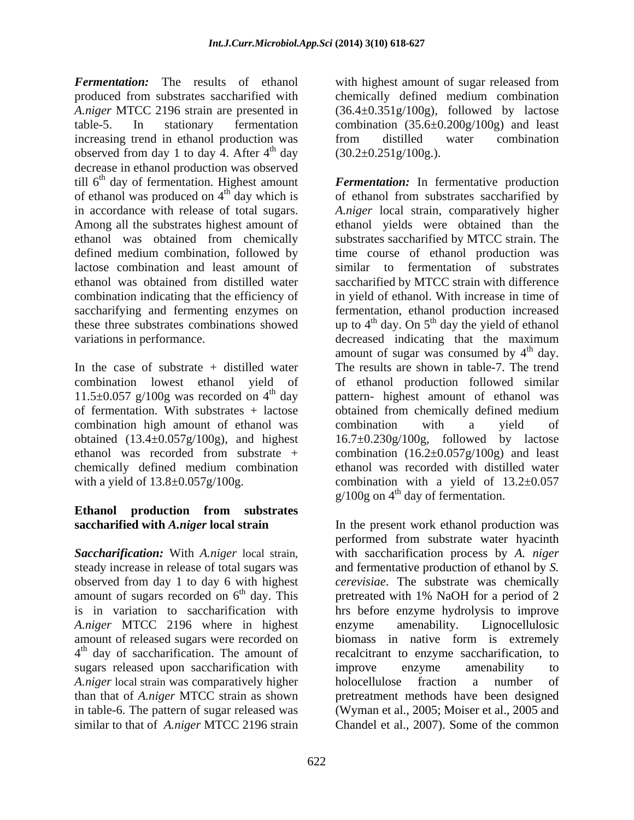*Fermentation:* The results of ethanol with highest amount of sugar released from produced from substrates saccharified with chemically defined medium combination *A.niger* MTCC 2196 strain are presented in (36.4±0.351g/100g), followed by lactose table-5. In stationary fermentation combination (35.6±0.200g/100g) and least increasing trend in ethanol production was from distilled water combination observed from day 1 to day 4. After  $4<sup>th</sup>$  day decrease in ethanol production was observed till 6<sup>th</sup> day of fermentation. Highest amount Fermentation: In fermentative production of ethanol was produced on  $4<sup>th</sup>$  day which is

combination high amount of ethanol was

# **Ethanol production from substrates**

*A.niger* MTCC 2196 where in highest sugars released upon saccharification with improve enzyme amenability to *A.niger* local strain was comparatively higher similar to that of *A.niger* MTCC 2196 strain

<sup>th</sup> day  $(30.2 \pm 0.251 \text{g}/100 \text{g}).$ from distilled water combination  $(30.2\pm0.251\,\mathrm{g}/100\,\mathrm{g}).$ 

<sup>th</sup> day which is of ethanol from substrates saccharified by in accordance with release of total sugars. *A.niger* local strain, comparatively higher Among all the substrates highest amount of ethanol yields were obtained than the ethanol was obtained from chemically substrates saccharified by MTCC strain. The defined medium combination, followed by time course of ethanol production was lactose combination and least amount of similar to fermentation of substrates ethanol was obtained from distilled water saccharified by MTCC strain with difference combination indicating that the efficiency of in yield of ethanol. With increase in time of saccharifying and fermenting enzymes on fermentation, ethanol production increased these three substrates combinations showed up to  $4<sup>th</sup>$  day. On  $5<sup>th</sup>$  day the yield of ethanol variations in performance. decreased indicating that the maximum In the case of substrate + distilled water The results are shown in table-7. The trend combination lowest ethanol yield of of ethanol production followed similar 11.5 $\pm$ 0.057 g/100g was recorded on 4<sup>th</sup> day pattern- highest amount of ethanol was of fermentation. With substrates + lactose obtained from chemically defined medium obtained (13.4±0.057g/100g), and highest 16.7±0.230g/100g, followed by lactose ethanol was recorded from substrate + combination (16.2±0.057g/100g) and least chemically defined medium combination ethanol was recorded with distilled water with a yield of  $13.8\pm0.057g/100g$ . combination with a yield of  $13.2\pm0.057$ amount of sugar was consumed by  $4<sup>th</sup>$  day.  $\mu$  day. combination with a yield of  $g/100g$  on  $4<sup>th</sup>$  day of fermentation.

**saccharified with** *A.niger* **local strain** In the present work ethanol production was *Saccharification:* With *A.niger* local strain, with saccharification process by *A. niger* steady increase in release of total sugars was and fermentative production of ethanol by *S.*  observed from day 1 to day 6 with highest *cerevisiae*. The substrate was chemically amount of sugars recorded on  $6<sup>th</sup>$  day. This pretreated with 1% NaOH for a period of 2 is in variation to saccharification with hrs before enzyme hydrolysis to improve amount of released sugars were recorded on biomass in native form is extremely 4<sup>th</sup> day of saccharification. The amount of recalcitrant to enzyme saccharification, to than that of *A.niger* MTCC strain as shown pretreatment methods have been designed in table-6. The pattern of sugar released was (Wyman et al., 2005; Moiser et al., 2005 and performed from substrate water hyacinth enzyme amenability. Lignocellulosic improve enzyme amenability to holocellulose fraction a number of Chandel et al., 2007). Some of the common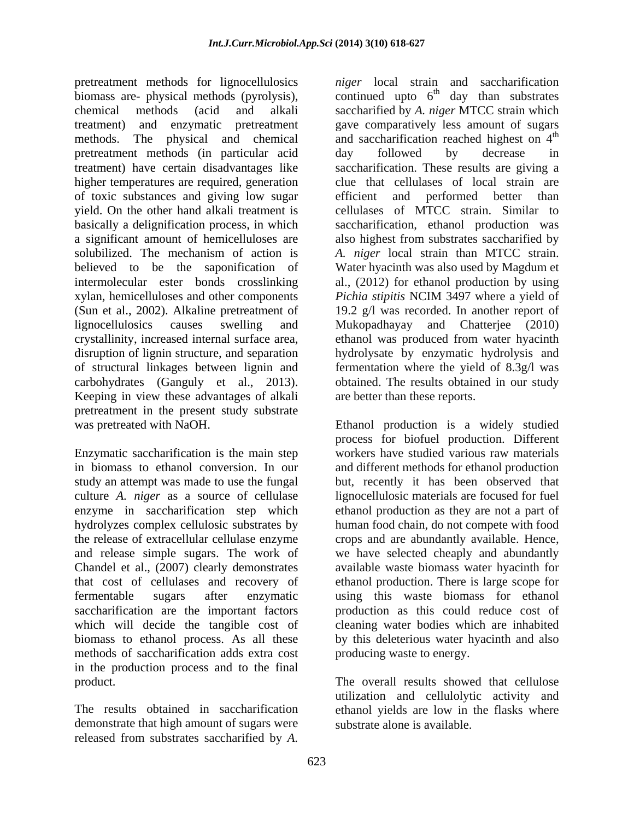pretreatment methods for lignocellulosics biomass are- physical methods (pyrolysis), continued upto  $6<sup>th</sup>$  day than substrates chemical methods (acid and alkali saccharified by *A. niger* MTCC strain which treatment) and enzymatic pretreatment gave comparatively less amount of sugars methods. The physical and chemical pretreatment methods (in particular acid treatment) have certain disadvantages like saccharification. These results are giving a higher temperatures are required, generation clue that cellulases of local strain are of toxic substances and giving low sugar yield. On the other hand alkali treatment is basically a delignification process, in which saccharification, ethanol production was a significant amount of hemicelluloses are also highest from substrates saccharified by solubilized. The mechanism of action is *A. niger* local strain than MTCC strain. believed to be the saponification of Water hyacinth was also used by Magdum et intermolecular ester bonds crosslinking al., (2012) for ethanol production by using xylan, hemicelluloses and other components *Pichia stipitis* NCIM 3497 where a yield of (Sun et al., 2002). Alkaline pretreatment of 19.2 g/l was recorded. In another report of lignocellulosics causes swelling and Mukopadhayay and Chatterjee (2010) crystallinity, increased internal surface area, ethanol was produced from water hyacinth disruption of lignin structure, and separation hydrolysate by enzymatic hydrolysis and of structural linkages between lignin and fermentation where the yield of 8.3g/l was carbohydrates (Ganguly et al., 2013). obtained. The results obtained in our study Keeping in view these advantages of alkali pretreatment in the present study substrate was pretreated with NaOH. Ethanol production is a widely studied

Chandel et al., (2007) clearly demonstrates methods of saccharification adds extra cost in the production process and to the final product. The overall results showed that cellulose

demonstrate that high amount of sugars were released from substrates saccharified by *A.*

*niger* local strain and saccharification <sup>th</sup> day than substrates and saccharification reached highest on 4<sup>th</sup> th day followed by decrease in efficient and performed better than cellulases of MTCC strain. Similar to *Pichia stipitis* NCIM 3497 where a yield of are better than these reports.

Enzymatic saccharification is the main step workers have studied various raw materials in biomass to ethanol conversion. In our and different methods for ethanol production study an attempt was made to use the fungal but, recently it has been observed that culture *A. niger* as a source of cellulase lignocellulosic materials are focused for fuel enzyme in saccharification step which ethanol production as they are not a part of hydrolyzes complex cellulosic substrates by human food chain, do not compete with food the release of extracellular cellulase enzyme crops and are abundantly available. Hence, and release simple sugars. The work of we have selected cheaply and abundantly that cost of cellulases and recovery of ethanol production. There is large scope for fermentable sugars after enzymatic using this waste biomass forethanol saccharification are the important factors production as this could reduce cost of which will decide the tangible cost of cleaning water bodies which are inhabited biomass to ethanol process. As all these by this deleterious water hyacinth and also process for biofuel production. Different available waste biomass water hyacinth for producing waste to energy.

The results obtained in saccharification ethanol yields are low in the flasks where utilization and cellulolytic activity and substrate alone is available.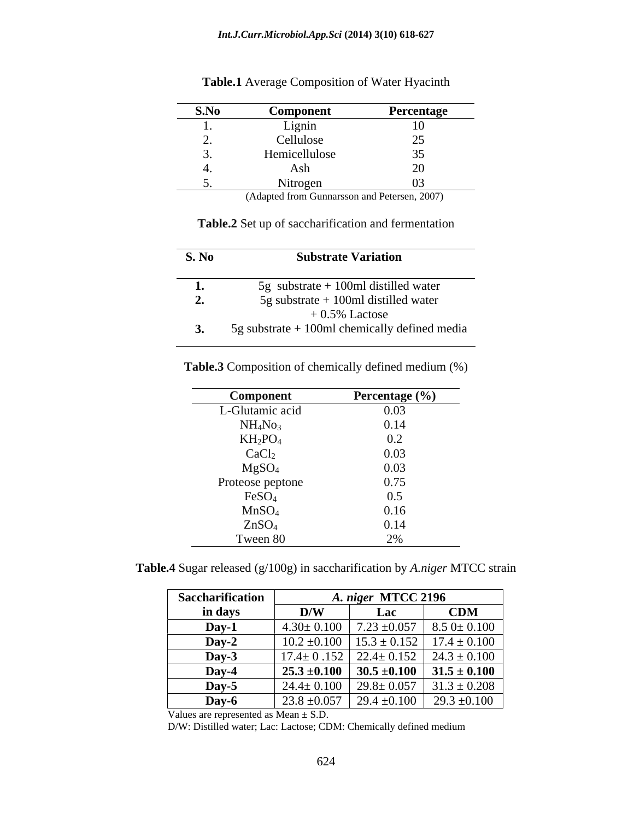| S.No | Component     | Percentage               |
|------|---------------|--------------------------|
| . .  | Lignin        |                          |
|      | Cellulose     |                          |
|      | Hemicellulose |                          |
|      | Ash           | $\overline{\phantom{0}}$ |
|      | Nitrogen      |                          |

**Table.1** Average Composition of Water Hyacinth

(Adapted from Gunnarsson and Petersen, 2007)

**Table.2** Set up of saccharification and fermentation

| S. No | <b>Substrate Variation</b>                      |
|-------|-------------------------------------------------|
|       | 5g substrate $+100$ ml distilled water          |
| ≁.    | 5g substrate $+100$ ml distilled water          |
|       | $+0.5\%$ Lactose                                |
| ◡     | 5g substrate $+$ 100ml chemically defined media |

**Table.3** Composition of chemically defined medium (%)

| <b>Component</b>                                 | Percentage (%) |
|--------------------------------------------------|----------------|
| L-Glutamic acid                                  | 0.03           |
|                                                  | 0.14           |
| $\mathrm{NH_{4}No_{3}}$ K $\mathrm{H_{2}PO_{4}}$ | $\Omega$       |
| CaCl <sub>2</sub>                                | 0.03           |
| $MgSO_4$<br>Proteose peptone                     | 0.03           |
|                                                  | 0.75           |
| FeSO <sub>4</sub>                                | 0.5<br>◡.      |
| MnSO <sub>4</sub>                                | 0.16           |
| ZnSO <sub>4</sub>                                | 0.14           |
| Tween 80                                         | $\angle 70$    |

**Table.4** Sugar released (g/100g) in saccharification by *A.niger* MTCC strain

| Saccharification          |                         | 1. niger MTCC 2196 |                                                     |
|---------------------------|-------------------------|--------------------|-----------------------------------------------------|
| in days                   | $\mathbf{D}/\mathbf{W}$ | <b>Lac</b>         | <b>CDM</b>                                          |
| <b>Day-1</b>              | $4.30 \pm 0.100$        |                    | $7.23 \pm 0.057$   8.5 0 ± 0.100                    |
| Day-2                     |                         | $15.3 \pm 0.152$   | $17.4 \pm 0.100$                                    |
| Day-3                     | $17.4 \pm 0.152$        |                    | $.152 \mid 22.4 \pm 0.152 \mid 24.3 \pm 0.100 \mid$ |
| Day- $\ddot{\phantom{a}}$ |                         |                    | 25.3 ±0.100   30.5 ±0.100   31.5 ± 0.100            |
| Day-5                     |                         |                    | 24.4 ± 0.100   29.8 ± 0.057   31.3 ± 0.208          |
| Day-6                     | 23.8 $\pm$ 0.057        | $29.4 \pm 0.100$   | $29.3 \pm 0.100$                                    |

Values are represented as Mean ± S.D.

D/W: Distilled water; Lac: Lactose; CDM: Chemically defined medium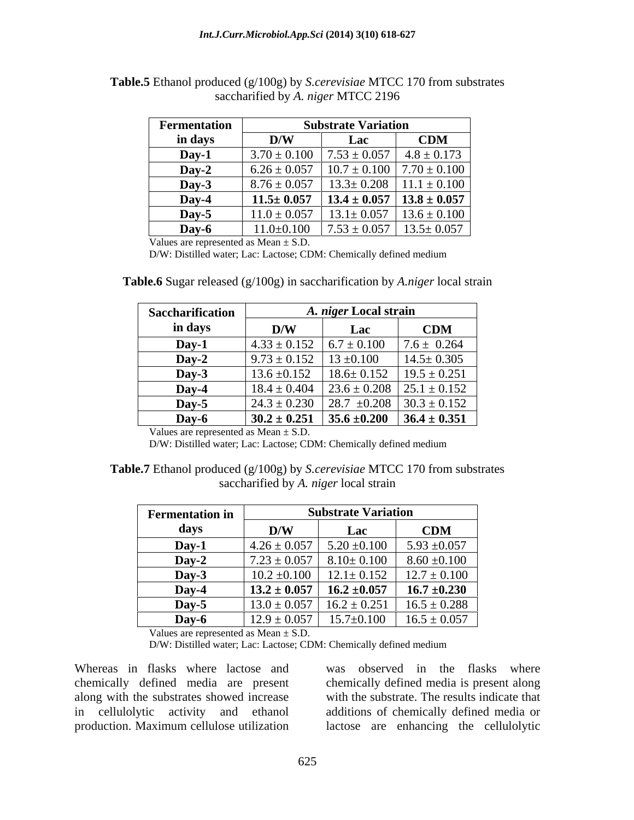| Fermentation |                                                                                                                 | <b>Substrate Variation</b>                       |            |
|--------------|-----------------------------------------------------------------------------------------------------------------|--------------------------------------------------|------------|
| in days      | $\mathbf{D}$ <b><i>NV</i></b>                                                                                   | Lac                                              | <b>CDM</b> |
| Day-1        | $3.70 \pm 0.100$   $7.53 \pm 0.057$   $4.8 \pm 0.173$                                                           |                                                  |            |
| $Day-2$      | $\begin{array}{ c c c c c c c c c } \hline 6.26 \pm 0.057 & 10.7 \pm 0.100 & 7.70 \pm 0.100 \hline \end{array}$ |                                                  |            |
| Day-3        | $8.76 \pm 0.057$   13.3± 0.208   11.1 ± 0.100                                                                   |                                                  |            |
| Day-4        | $11.5 \pm 0.057$                                                                                                | 13.4 ± 0.057   13.8 ± 0.057                      |            |
| Day-5        | $11.0 \pm 0.057$                                                                                                | $13.1 \pm 0.057$   $13.6 \pm 0.100$              |            |
| Dav-C        |                                                                                                                 | $11.0\pm0.100$   $7.53\pm0.057$   $13.5\pm0.057$ |            |

**Table.5** Ethanol produced (g/100g) by *S.cerevisiae* MTCC 170 from substrates saccharified by *A. niger* MTCC 2196

Values are represented as Mean  $\pm$  S.D.

D/W: Distilled water; Lac: Lactose; CDM: Chemically defined medium

| Saccharification |                  | A. niger Local strain             |                                                        |
|------------------|------------------|-----------------------------------|--------------------------------------------------------|
| in days          | D/W              | Lac                               | <b>CDM</b>                                             |
| Dav-1            |                  |                                   | $1.33 \pm 0.152$ $6.7 \pm 0.100$ $7.6 \pm 0.264$       |
| Day-2            |                  | $9.73 \pm 0.152$   13 $\pm 0.100$ | $14.5 \pm 0.305$                                       |
| Day-3            | $13.6 \pm 0.152$ |                                   | $18.6 \pm 0.152$   19.5 $\pm$ 0.251                    |
| Dav- $\angle$    |                  |                                   | $18.4 \pm 0.404$   23.6 $\pm$ 0.208   25.1 $\pm$ 0.152 |
| Dav-5            | $24.3 \pm 0.230$ |                                   | 28.7 $\pm 0.208$   30.3 $\pm$ 0.152                    |
| Day-6            | $30.2 \pm 0.251$ |                                   | $35.6 \pm 0.200$ $36.4 \pm 0.351$                      |

**Table.6** Sugar released (g/100g) in saccharification by *A.niger* local strain

Values are represented as  $Mean \pm S.D.$ 

D/W: Distilled water; Lac: Lactose; CDM: Chemically defined medium

| Table.7 Ethanol produced (g/100g) by S.cerevisiae MTCC 170 from substrates |
|----------------------------------------------------------------------------|
| saccharitied by A<br><i>A. niger</i> local strain                          |

| <b>Fermentation in</b> |                                            | <b>Substrate Variation</b> |                                                        |
|------------------------|--------------------------------------------|----------------------------|--------------------------------------------------------|
| days                   | D/W                                        | Lac                        | <b>CDM</b>                                             |
| Day-1                  | $4.26 \pm 0.057$                           | $5.20 \pm 0.100$           | $5.93 \pm 0.057$                                       |
| $Day-2$                | $7.23 \pm 0.057$ 8.10 ± 0.100 8.60 ± 0.100 |                            |                                                        |
| Day-3                  |                                            |                            | $10.2 \pm 0.100$   $12.1 \pm 0.152$   $12.7 \pm 0.100$ |
| $\bf\mathbf{D}$ ay-    | $13.2 \pm 0.057$                           | $16.2 \pm 0.057$           | $16.7 \pm 0.230$                                       |
| Day-5                  | $3.0 + 0.057$                              |                            | $16.2 \pm 0.251$   $16.5 \pm 0.288$                    |
| Dav-6                  |                                            |                            | $12.9 \pm 0.057$ 15.7 $\pm$ 0.100 16.5 $\pm$ 0.057     |

Values are represented as Mean  $\pm$  S.D.

D/W: Distilled water; Lac: Lactose; CDM: Chemically defined medium

chemically defined media are present along with the substrates showed increase

Whereas in flasks where lactose and was observed in the flasks where in cellulolytic activity and ethanol additions of chemically defined media or production. Maximum cellulose utilization lactose are enhancing the cellulolyticchemically defined media is present along with the substrate. The results indicate that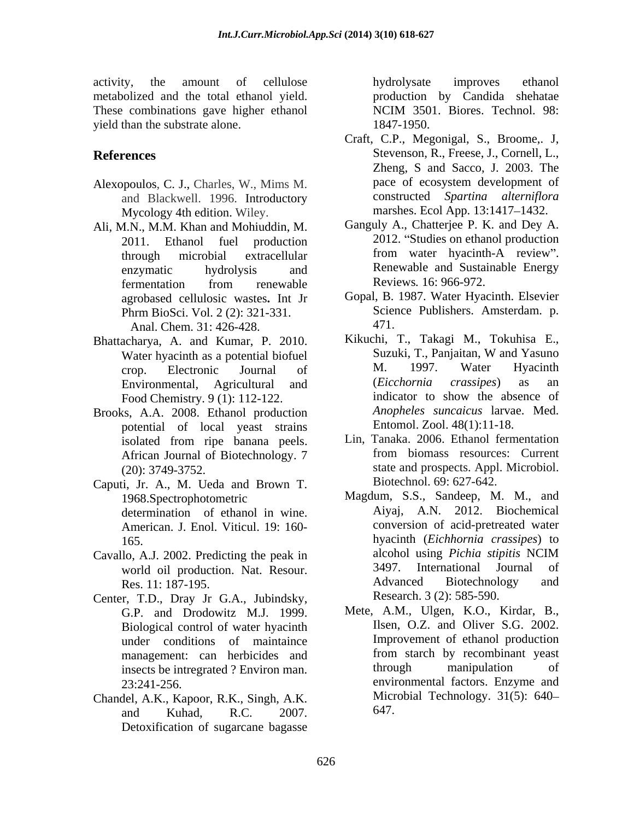activity, the amount of cellulose bydrolysate improves ethanol metabolized and the total ethanol yield. These combinations gave higher ethanol NCIM 3501. Biores. Technol. 98: yield than the substrate alone. 1847-1950.

- and Blackwell. 1996. Introductory Mycology 4th edition. Wiley.
- Ali, M.N., M.M. Khan and Mohiuddin, M. fermentation from renewable Reviews. 16:966-972. agrobased cellulosic wastes**.** Int Jr Phrm BioSci. Vol. 2 (2): 321-331. Scien<br>Anal Chem 31: 426-428 471. Anal. Chem. 31: 426-428.
- Bhattacharya, A. and Kumar, P. 2010. Kikuchi, T., Takagi M., Tokuhisa E.,<br>Water hyacinth as a potential biofuel Suzuki, T., Panjaitan, W and Yasuno
- Brooks, A.A. 2008. Ethanol production potential of local yeast strains
- Caputi, Jr. A., M. Ueda and Brown T. determination of ethanol in wine. American. J. Enol. Viticul. 19: 160-
- Cavallo, A.J. 2002. Predicting the peak in alcohol using *Pichia stipitis* NCIM<br>world oil production. Nat. Resour. 2497. International Journal of world oil production. Nat. Resour. 3497. International Journ<br>Res. 11: 187-195 Advanced Biotechnology
- Center, T.D., Dray Jr G.A., Jubindsky, G.P. and Drodowitz M.J. 1999. Biological control of water hyacinth insects be intregrated ? Environ man.
- Chandel, A.K., Kapoor, R.K., Singh, A.K. and Kuhad, R.C. 2007. Detoxification of sugarcane bagasse

hydrolysate improves ethanol production by Candida shehatae NCIM 3501. Biores. Technol. 98: 1847-1950.

- **References** Stevenson, R., Freese, J., Cornell, L., Alexopoulos, C. J., Charles, W., Mims M. pace of ecosystem development of Craft, C.P., Megonigal, S., Broome,. J, Zheng, S and Sacco, J. 2003. The pace of ecosystem development of constructed *Spartina alterniflora* marshes. Ecol App. 13:1417-1432.
	- 2011. Ethanol fuel production 2012. Studies on ethanol production through microbial extracellular from water hyacinth-A review". enzymatic hydrolysis and Renewable and Sustainable Energy Ganguly A., Chatterjee P. K. and Dey A. from water hyacinth-A review". Reviews*.* 16: 966-972.
		- Gopal, B. 1987. Water Hyacinth. Elsevier Science Publishers. Amsterdam. p. 471.
	- Water hyacinth as a potential biofuel<br>
	crop Electronic Journal of M. 1997. Water Hyacinth crop. Electronic Journal of M. 1997. Water Hyacinth Environmental, Agricultural and (*Eicchornia crassipes*) as an Food Chemistry. 9 (1): 112-122. indicator to show the absence of Kikuchi, T., Takagi M., Tokuhisa E., Suzuki, T., Panjaitan, W and Yasuno M. 1997. Water Hyacinth (*Eicchornia crassipes*) as an indicator to show the absence of *Anopheles suncaicus* larvae. Med. Entomol. Zool. 48(1):11-18.
	- isolated from ripe banana peels. Lin, Tanaka. 2006. Ethanol fermentation African Journal of Biotechnology. 7 from biomass resources: Current (20): 3749-3752. state and prospects. Appl. Microbiol. Lin, Tanaka. 2006. Ethanol fermentation from biomass resources: Current Biotechnol. 69: 627-642.
	- 1968.Spectrophotometric Magdum, S.S., Sandeep, M. M., and 165. hyacinth (*Eichhornia crassipes*) to Res. 11: 187-195. Advanced Biotechnology and Aiyaj, A.N. 2012. Biochemical conversion of acid-pretreated water alcohol using *Pichia stipitis* NCIM 3497. International Journal of Advanced Biotechnology and Research. 3 (2): 585-590.
	- under conditions of maintaince<br>management: can herbicides and from starch by recombinant yeast management: can herbicides and from starch by recombinant yeast<br>insects be intregrated ? Fusiron man through manipulation of 23:241-256. environmental factors. Enzyme and Mete, A.M., Ulgen, K.O., Kirdar, B., Ilsen, O.Z. and Oliver S.G. 2002. Improvement of ethanol production from starch by recombinant yeast through manipulation of Microbial Technology. 31(5): 640 647.